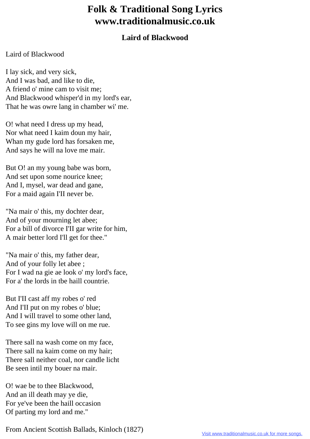## **Folk & Traditional Song Lyrics www.traditionalmusic.co.uk**

## **Laird of Blackwood**

## Laird of Blackwood

I lay sick, and very sick, And I was bad, and like to die, A friend o' mine cam to visit me; And Blackwood whisper'd in my lord's ear, That he was owre lang in chamber wi' me.

O! what need I dress up my head, Nor what need I kaim doun my hair, Whan my gude lord has forsaken me, And says he will na love me mair.

But O! an my young babe was born, And set upon some nourice knee; And I, mysel, war dead and gane, For a maid again I'II never be.

"Na mair o' this, my dochter dear, And of your mourning let abee; For a bill of divorce I'II gar write for him, A mair better lord I'll get for thee."

"Na mair o' this, my father dear, And of your folly let abee ; For I wad na gie ae look o' my lord's face, For a' the lords in tbe haill countrie.

But I'II cast aff my robes o' red And I'II put on my robes o' blue; And I will travel to some other land, To see gins my love will on me rue.

There sall na wash come on my face, There sall na kaim come on my hair; There sall neither coal, nor candle licht Be seen intil my bouer na mair.

O! wae be to thee Blackwood, And an ill death may ye die, For ye've been the haill occasion Of parting my lord and me."

From Ancient Scottish Ballads, Kinloch (1827)